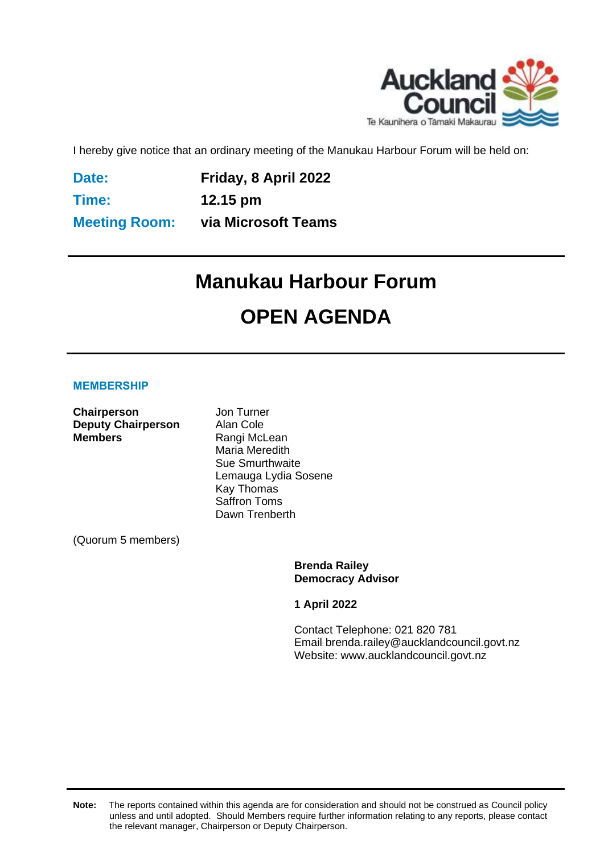

I hereby give notice that an ordinary meeting of the Manukau Harbour Forum will be held on:

**Date:**

**Friday, 8 April 2022**

**Time: Meeting Room:**

**12.15 pm via Microsoft Teams**

# **Manukau Harbour Forum OPEN AGENDA**

#### **MEMBERSHIP**

**Chairperson** Jon Turner **Deputy Chairperson** Alan Cole<br> **Members** Rangi McL

**Rangi McLean** Maria Meredith Sue Smurthwaite Lemauga Lydia Sosene Kay Thomas Saffron Toms Dawn Trenberth

(Quorum 5 members)

**Brenda Railey Democracy Advisor**

**1 April 2022**

Contact Telephone: 021 820 781 Email: brenda.railey@aucklandcouncil.govt.nz Website: www.aucklandcouncil.govt.nz

**Note:** The reports contained within this agenda are for consideration and should not be construed as Council policy unless and until adopted. Should Members require further information relating to any reports, please contact the relevant manager, Chairperson or Deputy Chairperson.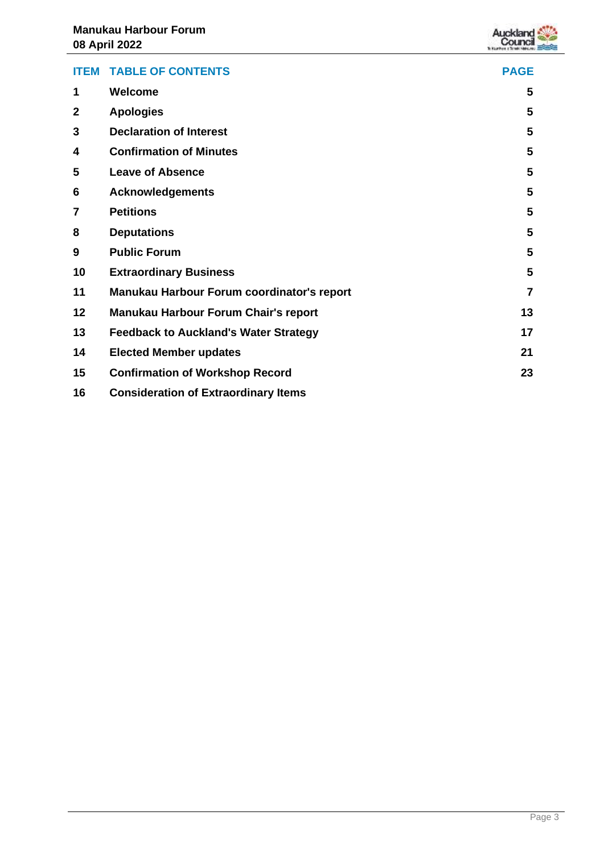

| <b>ITEM</b>  | <b>TABLE OF CONTENTS</b>                     | <b>PAGE</b>    |
|--------------|----------------------------------------------|----------------|
| 1            | <b>Welcome</b>                               | 5              |
| $\mathbf{2}$ | <b>Apologies</b>                             | 5              |
| 3            | <b>Declaration of Interest</b>               | 5              |
| 4            | <b>Confirmation of Minutes</b>               | 5              |
| 5            | <b>Leave of Absence</b>                      | 5              |
| 6            | <b>Acknowledgements</b>                      | 5              |
| 7            | <b>Petitions</b>                             | 5              |
| 8            | <b>Deputations</b>                           | 5              |
| 9            | <b>Public Forum</b>                          | 5              |
| 10           | <b>Extraordinary Business</b>                | 5              |
| 11           | Manukau Harbour Forum coordinator's report   | $\overline{7}$ |
| 12           | Manukau Harbour Forum Chair's report         | 13             |
| 13           | <b>Feedback to Auckland's Water Strategy</b> | 17             |
| 14           | <b>Elected Member updates</b>                | 21             |
| 15           | <b>Confirmation of Workshop Record</b>       | 23             |
| 16           | <b>Consideration of Extraordinary Items</b>  |                |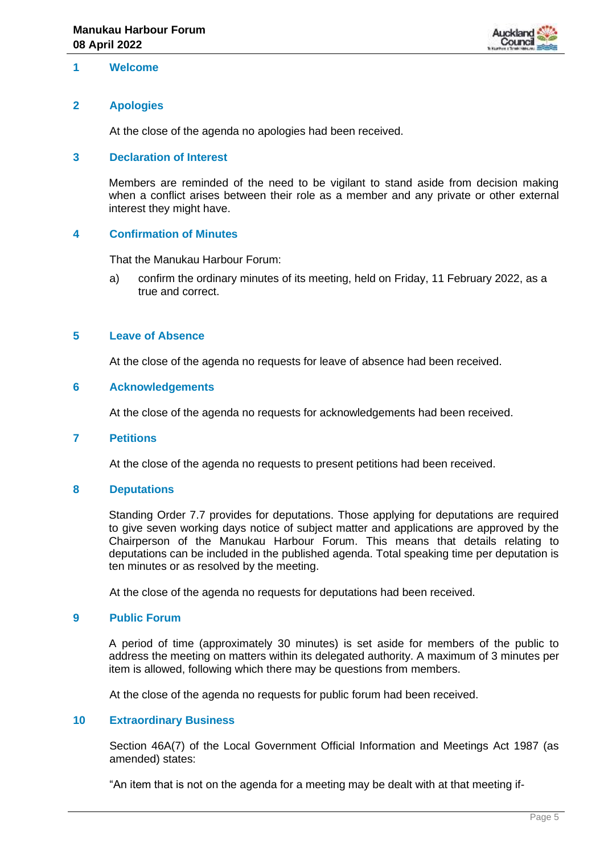

#### <span id="page-4-0"></span>**1 Welcome**

#### <span id="page-4-1"></span>**2 Apologies**

At the close of the agenda no apologies had been received.

#### <span id="page-4-2"></span>**3 Declaration of Interest**

Members are reminded of the need to be vigilant to stand aside from decision making when a conflict arises between their role as a member and any private or other external interest they might have.

#### <span id="page-4-3"></span>**4 Confirmation of Minutes**

That the Manukau Harbour Forum:

a) confirm the ordinary minutes of its meeting, held on Friday, 11 February 2022, as a true and correct.

#### <span id="page-4-4"></span>**5 Leave of Absence**

At the close of the agenda no requests for leave of absence had been received.

#### <span id="page-4-5"></span>**6 Acknowledgements**

At the close of the agenda no requests for acknowledgements had been received.

#### <span id="page-4-6"></span>**7 Petitions**

At the close of the agenda no requests to present petitions had been received.

#### <span id="page-4-7"></span>**8 Deputations**

Standing Order 7.7 provides for deputations. Those applying for deputations are required to give seven working days notice of subject matter and applications are approved by the Chairperson of the Manukau Harbour Forum. This means that details relating to deputations can be included in the published agenda. Total speaking time per deputation is ten minutes or as resolved by the meeting.

At the close of the agenda no requests for deputations had been received.

#### <span id="page-4-8"></span>**9 Public Forum**

A period of time (approximately 30 minutes) is set aside for members of the public to address the meeting on matters within its delegated authority. A maximum of 3 minutes per item is allowed, following which there may be questions from members.

At the close of the agenda no requests for public forum had been received.

#### <span id="page-4-9"></span>**10 Extraordinary Business**

Section 46A(7) of the Local Government Official Information and Meetings Act 1987 (as amended) states:

"An item that is not on the agenda for a meeting may be dealt with at that meeting if-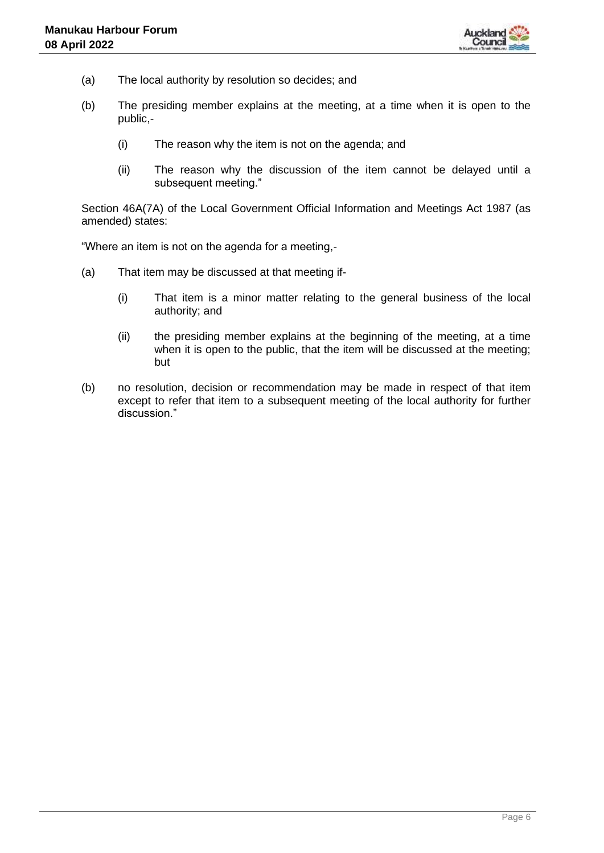

- (a) The local authority by resolution so decides; and
- (b) The presiding member explains at the meeting, at a time when it is open to the public,-
	- (i) The reason why the item is not on the agenda; and
	- (ii) The reason why the discussion of the item cannot be delayed until a subsequent meeting."

Section 46A(7A) of the Local Government Official Information and Meetings Act 1987 (as amended) states:

"Where an item is not on the agenda for a meeting,-

- (a) That item may be discussed at that meeting if-
	- (i) That item is a minor matter relating to the general business of the local authority; and
	- (ii) the presiding member explains at the beginning of the meeting, at a time when it is open to the public, that the item will be discussed at the meeting; but
- (b) no resolution, decision or recommendation may be made in respect of that item except to refer that item to a subsequent meeting of the local authority for further discussion."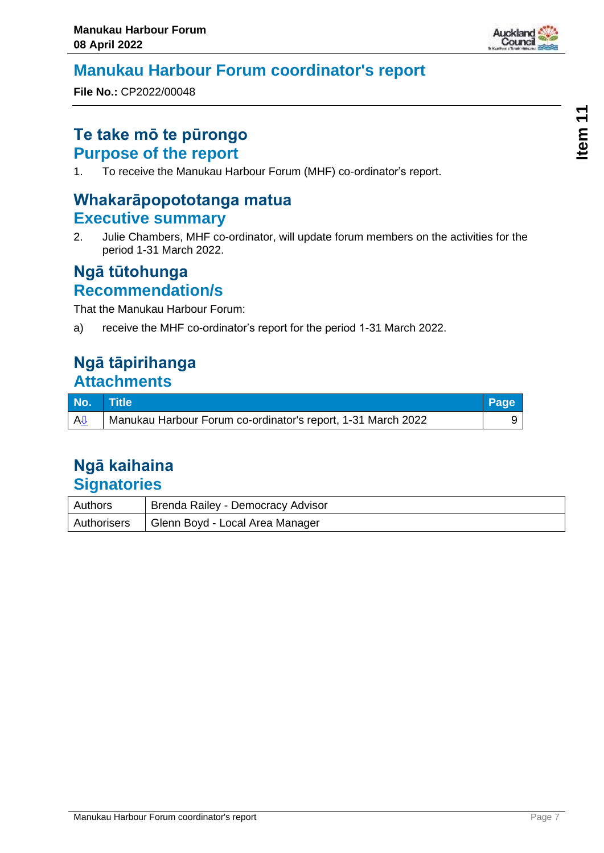

### <span id="page-6-0"></span>**Manukau Harbour Forum coordinator's report**

**File No.:** CP2022/00048

### **Te take mō te pūrongo Purpose of the report**

1. To receive the Manukau Harbour Forum (MHF) co-ordinator's report.

# **Whakarāpopototanga matua Executive summary**

2. Julie Chambers, MHF co-ordinator, will update forum members on the activities for the period 1-31 March 2022.

### **Ngā tūtohunga Recommendation/s**

That the Manukau Harbour Forum:

a) receive the MHF co-ordinator's report for the period 1-31 March 2022.

### **Ngā tāpirihanga Attachments**

| No. Title |                                                              | Page |
|-----------|--------------------------------------------------------------|------|
| <b>AJ</b> | Manukau Harbour Forum co-ordinator's report, 1-31 March 2022 |      |

| <b>Authors</b> | Brenda Railey - Democracy Advisor |
|----------------|-----------------------------------|
| Authorisers    | Glenn Boyd - Local Area Manager   |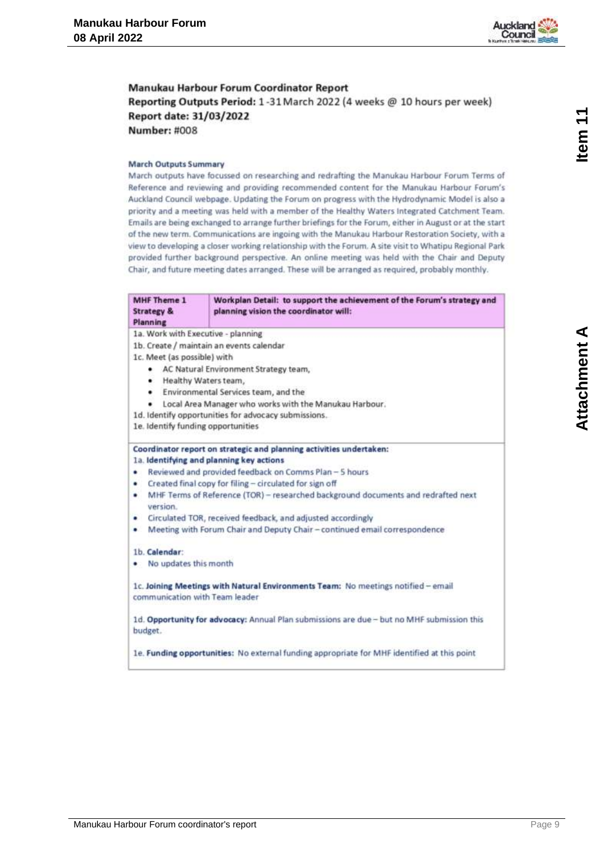

<span id="page-8-0"></span>Manukau Harbour Forum Coordinator Report Reporting Outputs Period: 1-31 March 2022 (4 weeks @ 10 hours per week) Report date: 31/03/2022 **Number: #008** 

#### **March Outputs Summary**

March outputs have focussed on researching and redrafting the Manukau Harbour Forum Terms of Reference and reviewing and providing recommended content for the Manukau Harbour Forum's Auckland Council webpage. Updating the Forum on progress with the Hydrodynamic Model is also a priority and a meeting was held with a member of the Healthy Waters Integrated Catchment Team. Emails are being exchanged to arrange further briefings for the Forum, either in August or at the start of the new term. Communications are ingoing with the Manukau Harbour Restoration Society, with a view to developing a closer working relationship with the Forum. A site visit to Whatipu Regional Park provided further background perspective. An online meeting was held with the Chair and Deputy Chair, and future meeting dates arranged. These will be arranged as required, probably monthly.

| MHF Theme 1<br><b>Strategy &amp;</b><br>Planning | Workplan Detail: to support the achievement of the Forum's strategy and<br>planning vision the coordinator will: |  |  |
|--------------------------------------------------|------------------------------------------------------------------------------------------------------------------|--|--|
| 1a. Work with Executive - planning               |                                                                                                                  |  |  |
|                                                  | 1b. Create / maintain an events calendar                                                                         |  |  |
| 1c. Meet (as possible) with                      |                                                                                                                  |  |  |
| ۰                                                | AC Natural Environment Strategy team,                                                                            |  |  |
| ۰                                                | Healthy Waters team,                                                                                             |  |  |
|                                                  | • Environmental Services team, and the                                                                           |  |  |
| ٠                                                | Local Area Manager who works with the Manukau Harbour.                                                           |  |  |
|                                                  | 1d. Identify opportunities for advocacy submissions.                                                             |  |  |
| 1e. Identify funding opportunities               |                                                                                                                  |  |  |
|                                                  | Coordinator report on strategic and planning activities undertaken:                                              |  |  |
|                                                  | 1a. Identifying and planning key actions                                                                         |  |  |
| ٠                                                | Reviewed and provided feedback on Comms Plan - 5 hours                                                           |  |  |
| ٠                                                | Created final copy for filing - circulated for sign off                                                          |  |  |
| ٠<br>version.                                    | MHF Terms of Reference (TOR) - researched background documents and redrafted next                                |  |  |
| ۰                                                | Circulated TOR, received feedback, and adjusted accordingly                                                      |  |  |
| ٠                                                | Meeting with Forum Chair and Deputy Chair - continued email correspondence                                       |  |  |
| 1b. Calendar:                                    |                                                                                                                  |  |  |
| No updates this month                            |                                                                                                                  |  |  |
| communication with Team leader                   | 1c. Joining Meetings with Natural Environments Team: No meetings notified - email                                |  |  |
| budget.                                          | 1d. Opportunity for advocacy: Annual Plan submissions are due - but no MHF submission this                       |  |  |
|                                                  | 1e. Funding opportunities: No external funding appropriate for MHF identified at this point                      |  |  |

Item<sub>11</sub>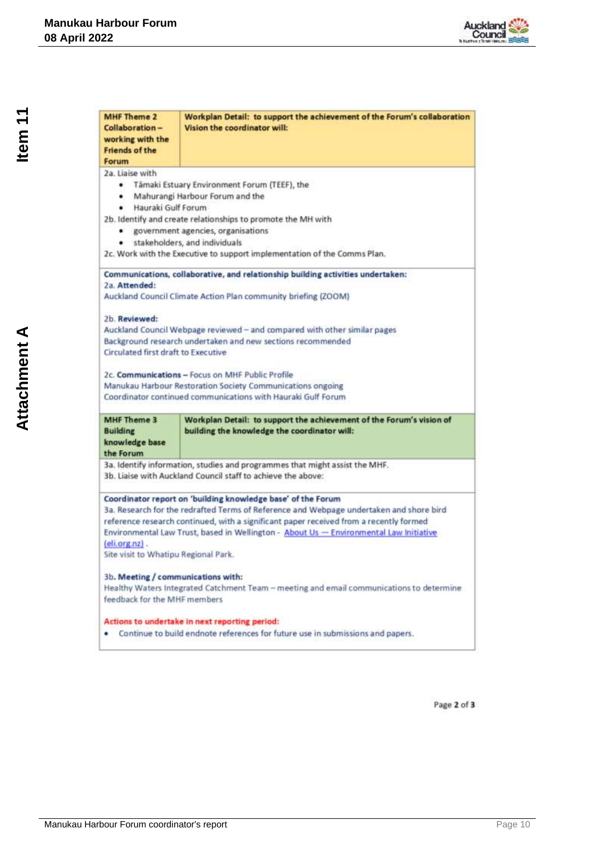

| <b>MHF Theme 2</b><br>Collaboration-<br>working with the<br><b>Friends of the</b><br>Forum | Workplan Detail: to support the achievement of the Forum's collaboration<br>Vision the coordinator will:                                                                                                                                                                                                                                    |
|--------------------------------------------------------------------------------------------|---------------------------------------------------------------------------------------------------------------------------------------------------------------------------------------------------------------------------------------------------------------------------------------------------------------------------------------------|
| 2a. Liaise with<br>۰<br>٠<br>Hauraki Gulf Forum<br>٠<br>۰                                  | Tâmaki Estuary Environment Forum (TEEF), the<br>Mahurangi Harbour Forum and the<br>2b. Identify and create relationships to promote the MH with<br>government agencies, organisations<br>· stakeholders, and individuals<br>2c. Work with the Executive to support implementation of the Comms Plan.                                        |
| 2a. Attended:<br>2b. Reviewed:                                                             | Communications, collaborative, and relationship building activities undertaken:<br>Auckland Council Climate Action Plan community briefing (ZOOM)                                                                                                                                                                                           |
| Circulated first draft to Executive                                                        | Auckland Council Webpage reviewed - and compared with other similar pages<br>Background research undertaken and new sections recommended                                                                                                                                                                                                    |
|                                                                                            | 2c. Communications - Focus on MHF Public Profile<br>Manukau Harbour Restoration Society Communications ongoing<br>Coordinator continued communications with Hauraki Gulf Forum                                                                                                                                                              |
| <b>MHF Theme 3</b><br><b>Building</b><br>knowledge base<br>the Forum                       | Workplan Detail: to support the achievement of the Forum's vision of<br>building the knowledge the coordinator will:                                                                                                                                                                                                                        |
|                                                                                            | 3a. Identify information, studies and programmes that might assist the MHF.<br>3b. Liaise with Auckland Council staff to achieve the above:                                                                                                                                                                                                 |
| $6$ (eli.org.nz).<br>Site visit to Whatipu Regional Park.                                  | Coordinator report on 'building knowledge base' of the Forum<br>3a. Research for the redrafted Terms of Reference and Webpage undertaken and shore bird<br>reference research continued, with a significant paper received from a recently formed<br>Environmental Law Trust, based in Wellington - About Us - Environmental Law Initiative |
| 3b. Meeting / communications with:<br>feedback for the MHF members.                        | Healthy Waters Integrated Catchment Team - meeting and email communications to determine                                                                                                                                                                                                                                                    |
| ٠                                                                                          | Actions to undertake in next reporting period:<br>Continue to build endnote references for future use in submissions and papers.                                                                                                                                                                                                            |

Page 2 of 3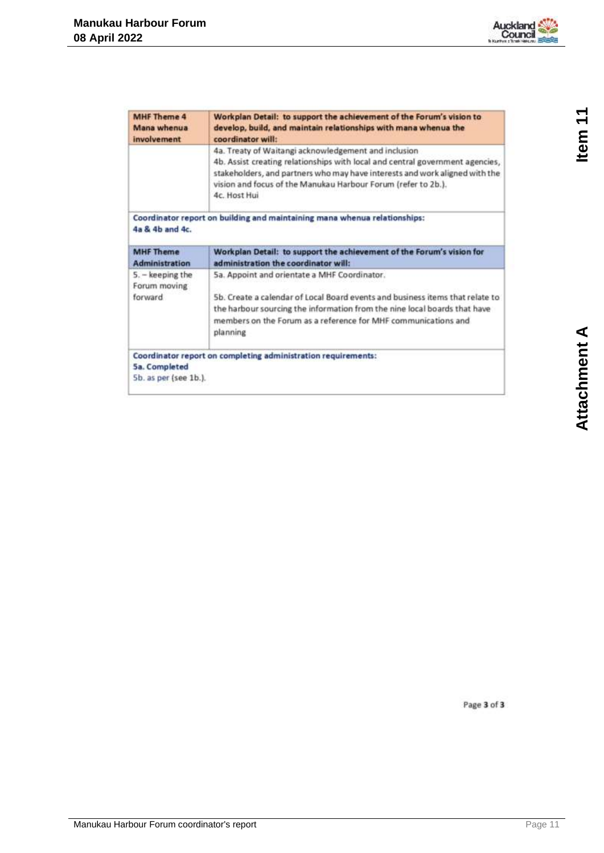

| MHF Theme 4<br>Mana whenua<br>involvement   | Workplan Detail: to support the achievement of the Forum's vision to<br>develop, build, and maintain relationships with mana whenua the<br>coordinator will:                                                                                                                                          |
|---------------------------------------------|-------------------------------------------------------------------------------------------------------------------------------------------------------------------------------------------------------------------------------------------------------------------------------------------------------|
|                                             | 4a. Treaty of Waitangi acknowledgement and inclusion<br>4b. Assist creating relationships with local and central government agencies,<br>stakeholders, and partners who may have interests and work aligned with the<br>vision and focus of the Manukau Harbour Forum (refer to 2b.).<br>4c. Host Hui |
| 4a & 4b and 4c.                             | Coordinator report on building and maintaining mana whenua relationships:                                                                                                                                                                                                                             |
| <b>MHF Theme</b><br><b>Administration</b>   | Workplan Detail: to support the achievement of the Forum's vision for<br>administration the coordinator will:                                                                                                                                                                                         |
| 5. - keeping the<br>Forum moving<br>forward | 5a. Appoint and orientate a MHF Coordinator.<br>5b. Create a calendar of Local Board events and business items that relate to<br>the harbour sourcing the information from the nine local boards that have<br>members on the Forum as a reference for MHF communications and<br>planning              |
| 5a. Completed<br>5b. as per (see 1b.).      | Coordinator report on completing administration requirements:                                                                                                                                                                                                                                         |

Page 3 of 3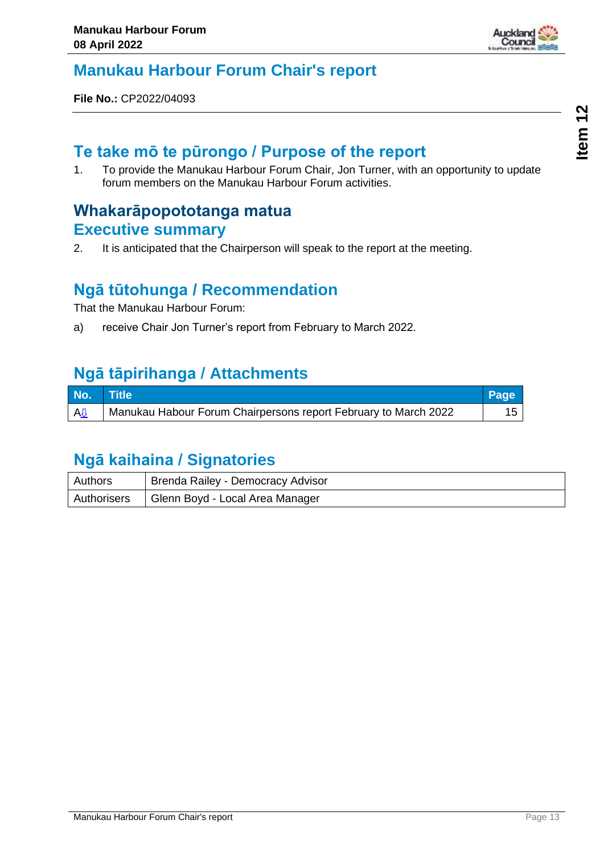

### <span id="page-12-0"></span>**Manukau Harbour Forum Chair's report**

**File No.:** CP2022/04093

### **Te take mō te pūrongo / Purpose of the report**

1. To provide the Manukau Harbour Forum Chair, Jon Turner, with an opportunity to update forum members on the Manukau Harbour Forum activities.

### **Whakarāpopototanga matua Executive summary**

2. It is anticipated that the Chairperson will speak to the report at the meeting.

### **Ngā tūtohunga / Recommendation**

That the Manukau Harbour Forum:

a) receive Chair Jon Turner's report from February to March 2022.

### **Ngā tāpirihanga / Attachments**

| No.                   | $\blacksquare$ Title $\blacksquare$                             | Page |
|-----------------------|-----------------------------------------------------------------|------|
| <b>A</b> <sup>U</sup> | Manukau Habour Forum Chairpersons report February to March 2022 | 15   |

| Authors | Brenda Railey - Democracy Advisor             |
|---------|-----------------------------------------------|
|         | Authorisers   Glenn Boyd - Local Area Manager |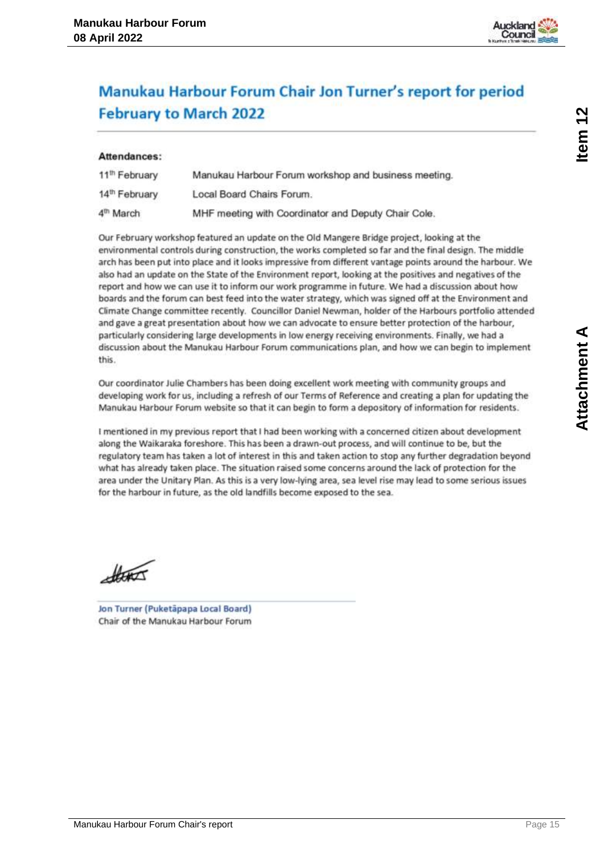

# <span id="page-14-0"></span>Manukau Harbour Forum Chair Jon Turner's report for period **February to March 2022**

#### Attendances:

| 11 <sup>th</sup> February | Manukau Harbour Forum workshop and business meeting. |
|---------------------------|------------------------------------------------------|
| 14 <sup>th</sup> February | Local Board Chairs Forum.                            |
| 4 <sup>th</sup> March     | MHF meeting with Coordinator and Deputy Chair Cole.  |

Our February workshop featured an update on the Old Mangere Bridge project, looking at the environmental controls during construction, the works completed so far and the final design. The middle arch has been put into place and it looks impressive from different vantage points around the harbour. We also had an update on the State of the Environment report, looking at the positives and negatives of the report and how we can use it to inform our work programme in future. We had a discussion about how boards and the forum can best feed into the water strategy, which was signed off at the Environment and Climate Change committee recently. Councillor Daniel Newman, holder of the Harbours portfolio attended and gave a great presentation about how we can advocate to ensure better protection of the harbour, particularly considering large developments in low energy receiving environments. Finally, we had a discussion about the Manukau Harbour Forum communications plan, and how we can begin to implement this.

Our coordinator Julie Chambers has been doing excellent work meeting with community groups and developing work for us, including a refresh of our Terms of Reference and creating a plan for updating the Manukau Harbour Forum website so that it can begin to form a depository of information for residents.

I mentioned in my previous report that I had been working with a concerned citizen about development along the Waikaraka foreshore. This has been a drawn-out process, and will continue to be, but the regulatory team has taken a lot of interest in this and taken action to stop any further degradation beyond what has already taken place. The situation raised some concerns around the lack of protection for the area under the Unitary Plan. As this is a very low-lying area, sea level rise may lead to some serious issues for the harbour in future, as the old landfills become exposed to the sea.

there

Jon Turner (Puketäpapa Local Board) Chair of the Manukau Harbour Forum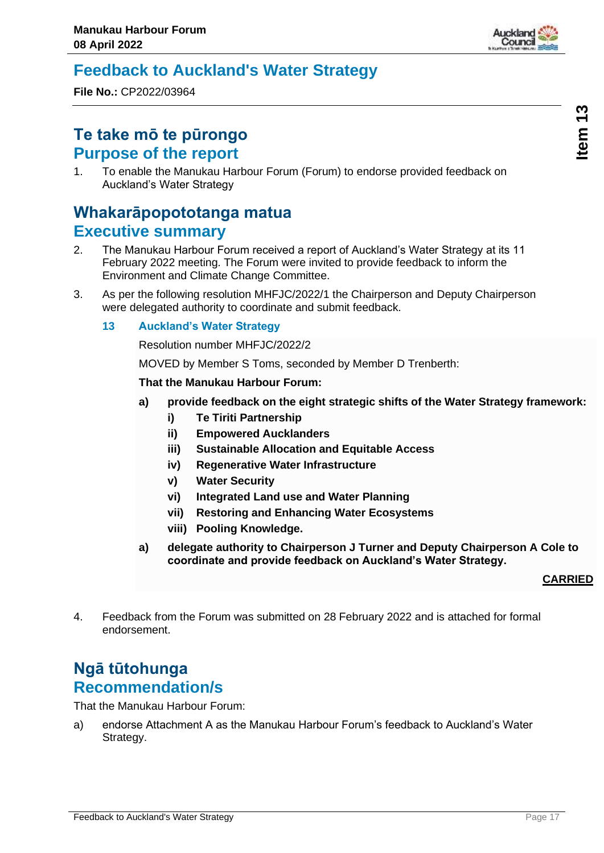

### <span id="page-16-0"></span>**Feedback to Auckland's Water Strategy**

**File No.:** CP2022/03964

### **Te take mō te pūrongo Purpose of the report**

1. To enable the Manukau Harbour Forum (Forum) to endorse provided feedback on Auckland's Water Strategy

### **Whakarāpopototanga matua Executive summary**

- 2. The Manukau Harbour Forum received a report of Auckland's Water Strategy at its 11 February 2022 meeting. The Forum were invited to provide feedback to inform the Environment and Climate Change Committee.
- 3. As per the following resolution MHFJC/2022/1 the Chairperson and Deputy Chairperson were delegated authority to coordinate and submit feedback.
	- **13 Auckland's Water Strategy**

Resolution number MHFJC/2022/2

MOVED by Member S Toms, seconded by Member D Trenberth:

#### **That the Manukau Harbour Forum:**

- **a) provide feedback on the eight strategic shifts of the Water Strategy framework:** 
	- **i) Te Tiriti Partnership**
	- **ii) Empowered Aucklanders**
	- **iii) Sustainable Allocation and Equitable Access**
	- **iv) Regenerative Water Infrastructure**
	- **v) Water Security**
	- **vi) Integrated Land use and Water Planning**
	- **vii) Restoring and Enhancing Water Ecosystems**
	- **viii) Pooling Knowledge.**
- **a) delegate authority to Chairperson J Turner and Deputy Chairperson A Cole to coordinate and provide feedback on Auckland's Water Strategy.**

#### **CARRIED**

4. Feedback from the Forum was submitted on 28 February 2022 and is attached for formal endorsement.

### **Ngā tūtohunga Recommendation/s**

That the Manukau Harbour Forum:

a) endorse Attachment A as the Manukau Harbour Forum's feedback to Auckland's Water Strategy.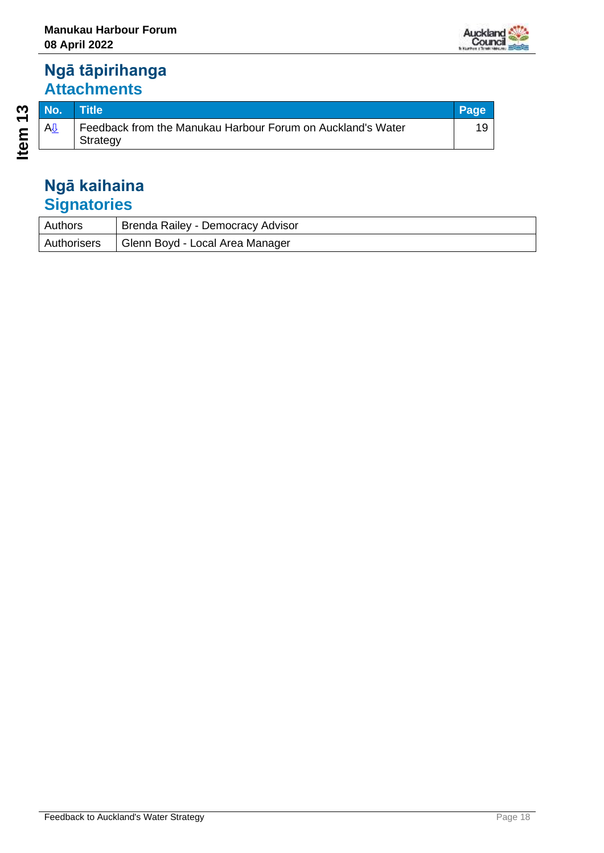### **Ngā tāpirihanga Attachments**

| Authors     | <b>Brenda Railey - Democracy Advisor</b> |
|-------------|------------------------------------------|
| Authorisers | Glenn Boyd - Local Area Manager          |

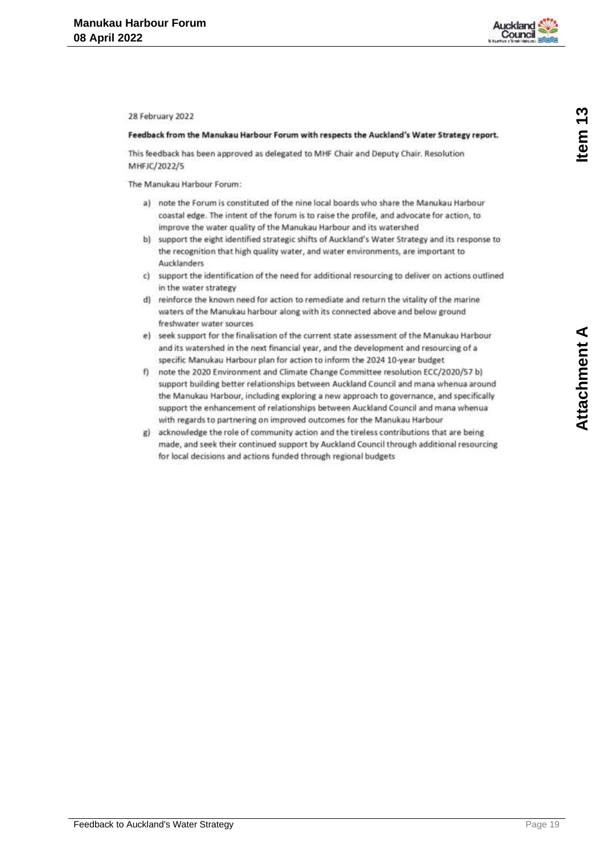

<span id="page-18-0"></span>28 February 2022

#### Feedback from the Manukau Harbour Forum with respects the Auckland's Water Strategy report.

This feedback has been approved as delegated to MHF Chair and Deputy Chair. Resolution MHFJC/2022/5

The Manukau Harbour Forum:

- a) note the Forum is constituted of the nine local boards who share the Manukau Harbour coastal edge. The intent of the forum is to raise the profile, and advocate for action, to improve the water quality of the Manukau Harbour and its watershed
- b) support the eight identified strategic shifts of Auckland's Water Strategy and its response to the recognition that high quality water, and water environments, are important to Aucklanders
- c) support the identification of the need for additional resourcing to deliver on actions outlined in the water strategy
- d) reinforce the known need for action to remediate and return the vitality of the marine waters of the Manukau harbour along with its connected above and below ground freshwater water sources
- e) seek support for the finalisation of the current state assessment of the Manukau Harbour and its watershed in the next financial year, and the development and resourcing of a specific Manukau Harbour plan for action to inform the 2024 10-year budget
- f) note the 2020 Environment and Climate Change Committee resolution ECC/2020/57 b) support building better relationships between Auckland Council and mana whenua around the Manukau Harbour, including exploring a new approach to governance, and specifically support the enhancement of relationships between Auckland Council and mana whenua with regards to partnering on improved outcomes for the Manukau Harbour
- g) acknowledge the role of community action and the tireless contributions that are being made, and seek their continued support by Auckland Council through additional resourcing for local decisions and actions funded through regional budgets

Item<sub>13</sub>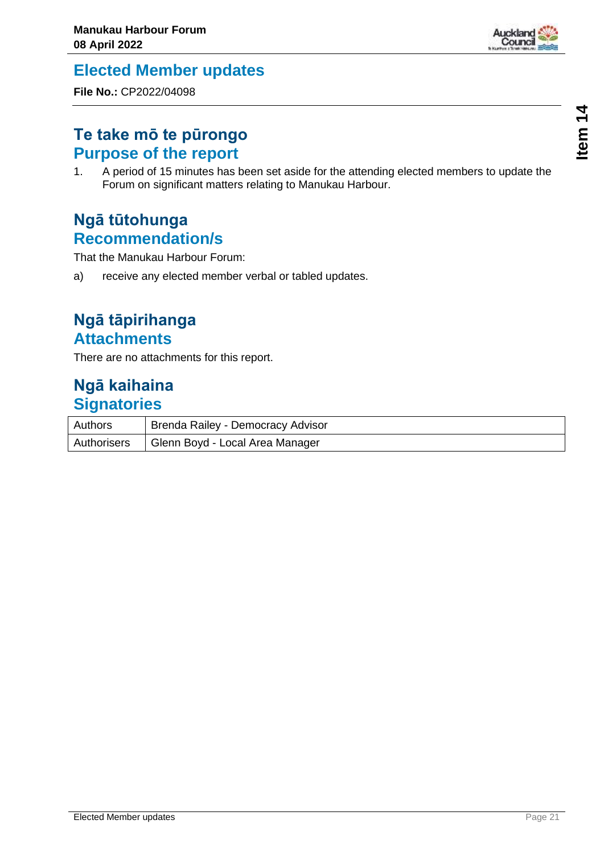

### <span id="page-20-0"></span>**Elected Member updates**

**File No.:** CP2022/04098

### **Te take mō te pūrongo Purpose of the report**

1. A period of 15 minutes has been set aside for the attending elected members to update the Forum on significant matters relating to Manukau Harbour.

### **Ngā tūtohunga Recommendation/s**

That the Manukau Harbour Forum:

a) receive any elected member verbal or tabled updates.

### **Ngā tāpirihanga Attachments**

There are no attachments for this report.

| Authors     | Brenda Railey - Democracy Advisor |
|-------------|-----------------------------------|
| Authorisers | Glenn Boyd - Local Area Manager   |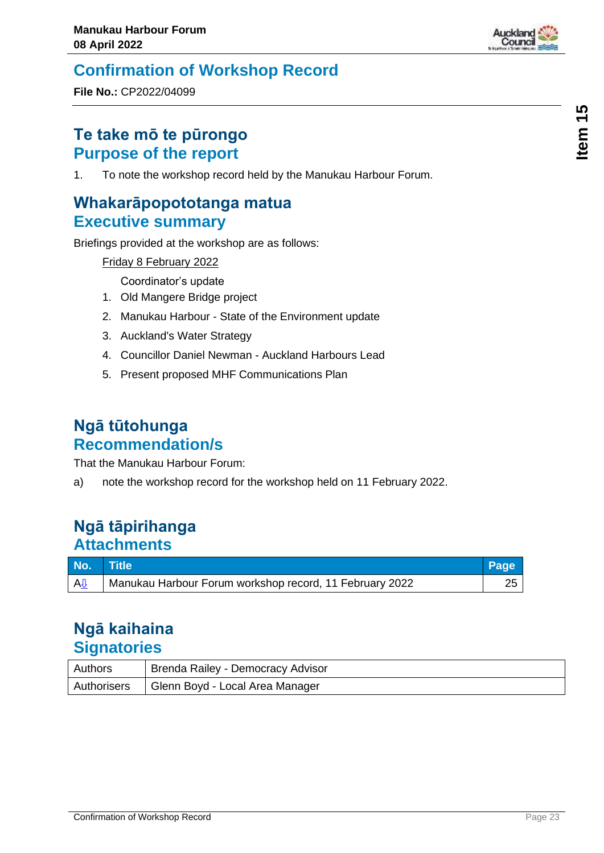

# <span id="page-22-0"></span>**Confirmation of Workshop Record**

**File No.:** CP2022/04099

### **Te take mō te pūrongo Purpose of the report**

1. To note the workshop record held by the Manukau Harbour Forum.

### **Whakarāpopototanga matua Executive summary**

Briefings provided at the workshop are as follows:

Friday 8 February 2022

Coordinator's update

- 1. Old Mangere Bridge project
- 2. Manukau Harbour State of the Environment update
- 3. Auckland's Water Strategy
- 4. Councillor Daniel Newman Auckland Harbours Lead
- 5. Present proposed MHF Communications Plan

### **Ngā tūtohunga Recommendation/s**

That the Manukau Harbour Forum:

a) note the workshop record for the workshop held on 11 February 2022.

### **Ngā tāpirihanga Attachments**

| No. Title |                                                         | Page |
|-----------|---------------------------------------------------------|------|
| AIJ       | Manukau Harbour Forum workshop record, 11 February 2022 |      |

| Authors     | Brenda Railey - Democracy Advisor |
|-------------|-----------------------------------|
| Authorisers | Glenn Boyd - Local Area Manager   |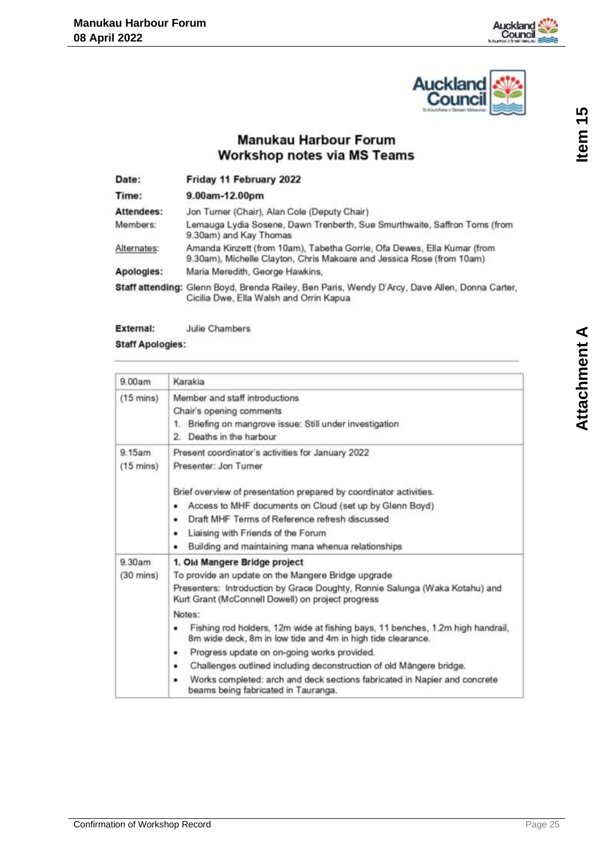



### **Manukau Harbour Forum Workshop notes via MS Teams**

<span id="page-24-0"></span>

| Date:       | Friday 11 February 2022                                                                                                                          |
|-------------|--------------------------------------------------------------------------------------------------------------------------------------------------|
| Time:       | 9.00am-12.00pm                                                                                                                                   |
| Attendees:  | Jon Turner (Chair), Alan Cole (Deputy Chair)                                                                                                     |
| Members:    | Lemauga Lydia Sosene, Dawn Trenberth, Sue Smurthwaite, Saffron Toms (from<br>9.30am) and Kay Thomas                                              |
| Alternates: | Amanda Kinzett (from 10am), Tabetha Gorrie, Ofa Dewes, Ella Kumar (from<br>9.30am), Michelle Clayton, Chris Makoare and Jessica Rose (from 10am) |
| Apologies:  | Maria Meredith, George Hawkins,                                                                                                                  |
|             | Staff attending: Glenn Boyd, Brenda Railey, Ben Paris, Wendy D'Arcy, Dave Allen, Donna Carter,<br>Cicilia Dwe, Ella Walsh and Orrin Kapua        |

External: Julie Chambers

#### **Staff Apologies:**

| 9.00am                        | Karakia                                                                                                                                                                                                                                                                                                                                                                                                                                                                                                                                                                                                   |
|-------------------------------|-----------------------------------------------------------------------------------------------------------------------------------------------------------------------------------------------------------------------------------------------------------------------------------------------------------------------------------------------------------------------------------------------------------------------------------------------------------------------------------------------------------------------------------------------------------------------------------------------------------|
| $(15 \text{ mins})$           | Member and staff introductions<br>Chair's opening comments<br>1. Briefing on mangrove issue: Still under investigation<br>2. Deaths in the harbour                                                                                                                                                                                                                                                                                                                                                                                                                                                        |
| 9.15am<br>$(15 \text{ mins})$ | Present coordinator's activities for January 2022<br>Presenter: Jon Turner<br>Brief overview of presentation prepared by coordinator activities.<br>Access to MHF documents on Cloud (set up by Glenn Boyd)<br>٠<br>Draft MHF Terms of Reference refresh discussed<br>٠<br>Liaising with Friends of the Forum<br>۰<br>Building and maintaining mana whenua relationships<br>٠                                                                                                                                                                                                                             |
| 9.30am<br>$(30 \text{ mins})$ | 1. Old Mangere Bridge project<br>To provide an update on the Mangere Bridge upgrade<br>Presenters: Introduction by Grace Doughty, Ronnie Salunga (Waka Kotahu) and<br>Kurt Grant (McConnell Dowell) on project progress<br>Notes:<br>Fishing rod holders, 12m wide at fishing bays, 11 benches, 1.2m high handrail,<br>۰<br>8m wide deck, 8m in low tide and 4m in high tide clearance.<br>Progress update on on-going works provided.<br>٠<br>Challenges outlined including deconstruction of old Mängere bridge.<br>٠<br>Works completed: arch and deck sections fabricated in Napier and concrete<br>۰ |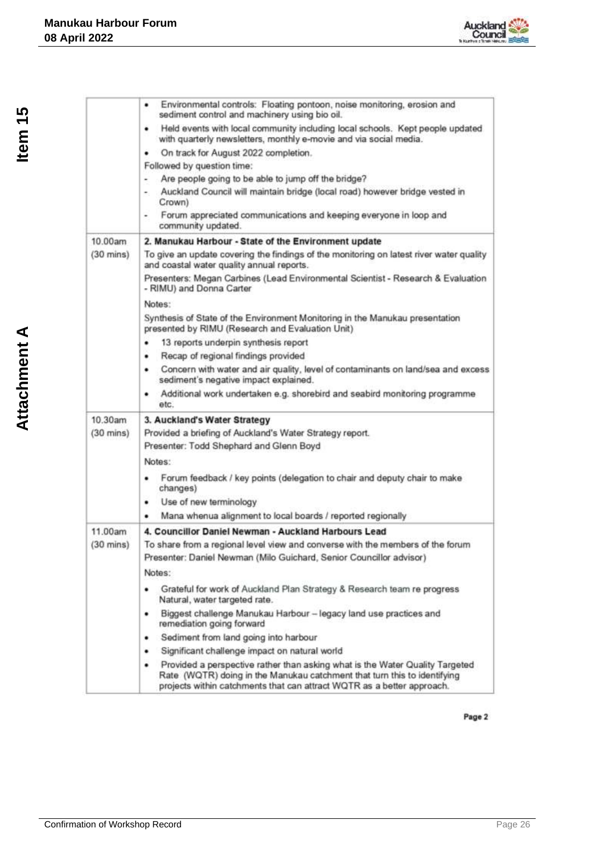

|                     | Environmental controls: Floating pontoon, noise monitoring, erosion and<br>٠<br>sediment control and machinery using bio oil.                                                                                                           |
|---------------------|-----------------------------------------------------------------------------------------------------------------------------------------------------------------------------------------------------------------------------------------|
|                     | Held events with local community including local schools. Kept people updated<br>٠<br>with quarterly newsletters, monthly e-movie and via social media.                                                                                 |
|                     | On track for August 2022 completion.<br>٠                                                                                                                                                                                               |
|                     | Followed by question time:                                                                                                                                                                                                              |
|                     | Are people going to be able to jump off the bridge?<br>۰                                                                                                                                                                                |
|                     | Auckland Council will maintain bridge (local road) however bridge vested in<br>Crown)                                                                                                                                                   |
|                     | Forum appreciated communications and keeping everyone in loop and<br>community updated.                                                                                                                                                 |
| 10.00am             | 2. Manukau Harbour - State of the Environment update                                                                                                                                                                                    |
| $(30 \text{ mins})$ | To give an update covering the findings of the monitoring on latest river water quality<br>and coastal water quality annual reports.                                                                                                    |
|                     | Presenters: Megan Carbines (Lead Environmental Scientist - Research & Evaluation<br>- RIMU) and Donna Carter                                                                                                                            |
|                     | Notes:                                                                                                                                                                                                                                  |
|                     | Synthesis of State of the Environment Monitoring in the Manukau presentation<br>presented by RIMU (Research and Evaluation Unit)                                                                                                        |
|                     | 13 reports underpin synthesis report<br>٠                                                                                                                                                                                               |
|                     | Recap of regional findings provided<br>٠                                                                                                                                                                                                |
|                     | Concern with water and air quality, level of contaminants on land/sea and excess<br>٠<br>sediment's negative impact explained.                                                                                                          |
|                     | Additional work undertaken e.g. shorebird and seabird monitoring programme<br>٠<br>etc.                                                                                                                                                 |
| 10.30am             | 3. Auckland's Water Strategy                                                                                                                                                                                                            |
| $(30 \text{ mins})$ | Provided a briefing of Auckland's Water Strategy report.                                                                                                                                                                                |
|                     | Presenter: Todd Shephard and Glenn Boyd                                                                                                                                                                                                 |
|                     | Notes:                                                                                                                                                                                                                                  |
|                     | Forum feedback / key points (delegation to chair and deputy chair to make<br>٠<br>changes)                                                                                                                                              |
|                     | Use of new terminology<br>٠                                                                                                                                                                                                             |
|                     | Mana whenua alignment to local boards / reported regionally<br>٠                                                                                                                                                                        |
| 11.00am             | 4. Councillor Daniel Newman - Auckland Harbours Lead                                                                                                                                                                                    |
| $(30 \text{ mins})$ | To share from a regional level view and converse with the members of the forum                                                                                                                                                          |
|                     | Presenter: Daniel Newman (Milo Guichard, Senior Councillor advisor)                                                                                                                                                                     |
|                     | Notes:                                                                                                                                                                                                                                  |
|                     | Grateful for work of Auckland Plan Strategy & Research team re progress<br>٠<br>Natural, water targeted rate.                                                                                                                           |
|                     | Biggest challenge Manukau Harbour - legacy land use practices and<br>٠<br>remediation going forward                                                                                                                                     |
|                     | Sediment from land going into harbour<br>٠                                                                                                                                                                                              |
|                     | Significant challenge impact on natural world<br>٠                                                                                                                                                                                      |
|                     | Provided a perspective rather than asking what is the Water Quality Targeted<br>٠<br>Rate (WQTR) doing in the Manukau catchment that turn this to identifying<br>projects within catchments that can attract WQTR as a better approach. |

Page 2